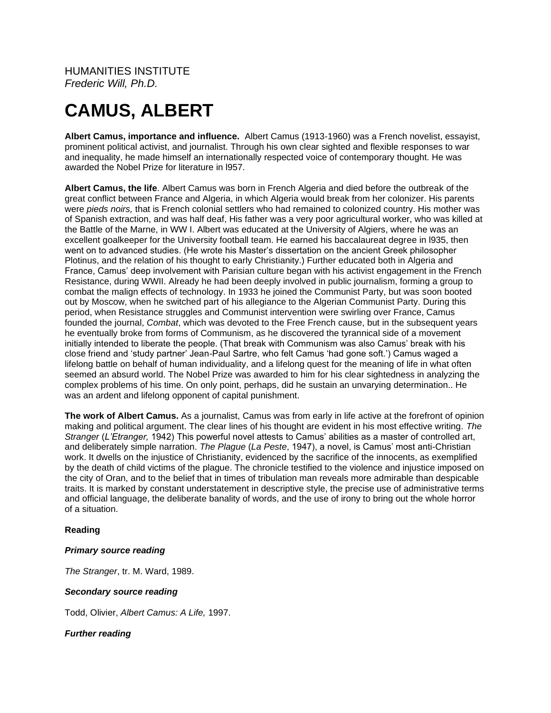HUMANITIES INSTITUTE *Frederic Will, Ph.D.*

# **CAMUS, ALBERT**

**Albert Camus, importance and influence.** Albert Camus (1913-1960) was a French novelist, essayist, prominent political activist, and journalist. Through his own clear sighted and flexible responses to war and inequality, he made himself an internationally respected voice of contemporary thought. He was awarded the Nobel Prize for literature in l957.

**Albert Camus, the life**. Albert Camus was born in French Algeria and died before the outbreak of the great conflict between France and Algeria, in which Algeria would break from her colonizer. His parents were *pieds noirs,* that is French colonial settlers who had remained to colonized country. His mother was of Spanish extraction, and was half deaf, His father was a very poor agricultural worker, who was killed at the Battle of the Marne, in WW I. Albert was educated at the University of Algiers, where he was an excellent goalkeeper for the University football team. He earned his baccalaureat degree in l935, then went on to advanced studies. (He wrote his Master's dissertation on the ancient Greek philosopher Plotinus, and the relation of his thought to early Christianity.) Further educated both in Algeria and France, Camus' deep involvement with Parisian culture began with his activist engagement in the French Resistance, during WWII. Already he had been deeply involved in public journalism, forming a group to combat the malign effects of technology. In 1933 he joined the Communist Party, but was soon booted out by Moscow, when he switched part of his allegiance to the Algerian Communist Party. During this period, when Resistance struggles and Communist intervention were swirling over France, Camus founded the journal, *Combat*, which was devoted to the Free French cause, but in the subsequent years he eventually broke from forms of Communism, as he discovered the tyrannical side of a movement initially intended to liberate the people. (That break with Communism was also Camus' break with his close friend and 'study partner' Jean-Paul Sartre, who felt Camus 'had gone soft.') Camus waged a lifelong battle on behalf of human individuality, and a lifelong quest for the meaning of life in what often seemed an absurd world. The Nobel Prize was awarded to him for his clear sightedness in analyzing the complex problems of his time. On only point, perhaps, did he sustain an unvarying determination.. He was an ardent and lifelong opponent of capital punishment.

**The work of Albert Camus.** As a journalist, Camus was from early in life active at the forefront of opinion making and political argument. The clear lines of his thought are evident in his most effective writing*. The Stranger* (*L'Etranger,* 1942) This powerful novel attests to Camus' abilities as a master of controlled art, and deliberately simple narration. *The Plague* (*La Peste*, 1947), a novel, is Camus' most anti-Christian work. It dwells on the injustice of Christianity, evidenced by the sacrifice of the innocents, as exemplified by the death of child victims of the plague. The chronicle testified to the violence and injustice imposed on the city of Oran, and to the belief that in times of tribulation man reveals more admirable than despicable traits. It is marked by constant understatement in descriptive style, the precise use of administrative terms and official language, the deliberate banality of words, and the use of irony to bring out the whole horror of a situation.

# **Reading**

## *Primary source reading*

*The Stranger*, tr. M. Ward, 1989.

## *Secondary source reading*

Todd, Olivier, *Albert Camus: A Life,* 1997.

# *Further reading*